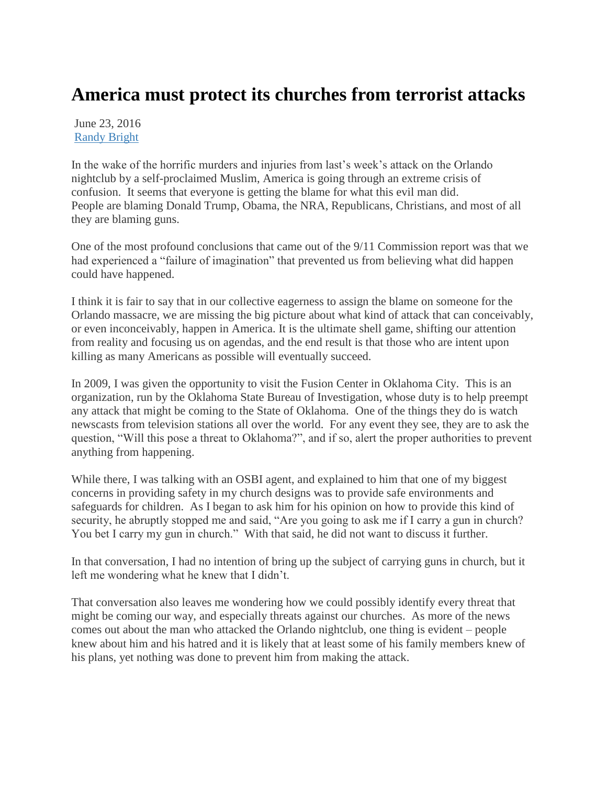## **America must protect its churches from terrorist attacks**

June 23, 2016 [Randy Bright](http://tulsabeacon.com/author/randy-bright/)

In the wake of the horrific murders and injuries from last's week's attack on the Orlando nightclub by a self-proclaimed Muslim, America is going through an extreme crisis of confusion. It seems that everyone is getting the blame for what this evil man did. People are blaming Donald Trump, Obama, the NRA, Republicans, Christians, and most of all they are blaming guns.

One of the most profound conclusions that came out of the 9/11 Commission report was that we had experienced a "failure of imagination" that prevented us from believing what did happen could have happened.

I think it is fair to say that in our collective eagerness to assign the blame on someone for the Orlando massacre, we are missing the big picture about what kind of attack that can conceivably, or even inconceivably, happen in America. It is the ultimate shell game, shifting our attention from reality and focusing us on agendas, and the end result is that those who are intent upon killing as many Americans as possible will eventually succeed.

In 2009, I was given the opportunity to visit the Fusion Center in Oklahoma City. This is an organization, run by the Oklahoma State Bureau of Investigation, whose duty is to help preempt any attack that might be coming to the State of Oklahoma. One of the things they do is watch newscasts from television stations all over the world. For any event they see, they are to ask the question, "Will this pose a threat to Oklahoma?", and if so, alert the proper authorities to prevent anything from happening.

While there, I was talking with an OSBI agent, and explained to him that one of my biggest concerns in providing safety in my church designs was to provide safe environments and safeguards for children. As I began to ask him for his opinion on how to provide this kind of security, he abruptly stopped me and said, "Are you going to ask me if I carry a gun in church? You bet I carry my gun in church." With that said, he did not want to discuss it further.

In that conversation, I had no intention of bring up the subject of carrying guns in church, but it left me wondering what he knew that I didn't.

That conversation also leaves me wondering how we could possibly identify every threat that might be coming our way, and especially threats against our churches. As more of the news comes out about the man who attacked the Orlando nightclub, one thing is evident – people knew about him and his hatred and it is likely that at least some of his family members knew of his plans, yet nothing was done to prevent him from making the attack.